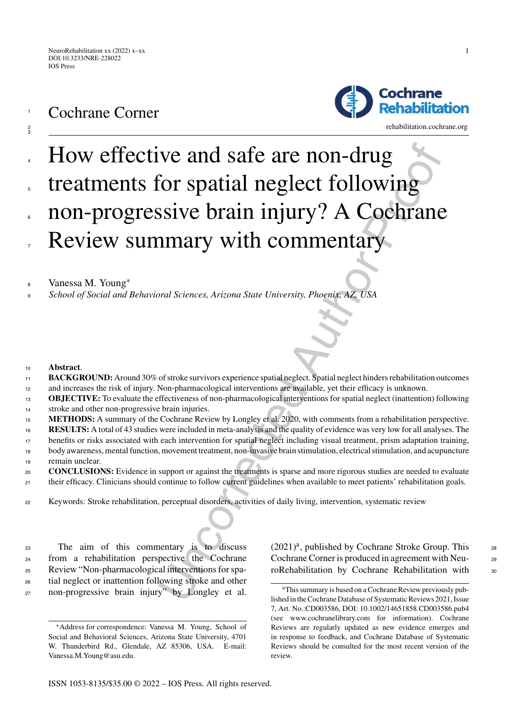Cochrane Corner

1

Cochrane

Rehabilitation



Vanessa M. Young<sup>∗</sup> <sup>8</sup>

<sup>9</sup> *School of Social and Behavioral Sciences, Arizona State University, Phoenix, AZ, USA*

- <sup>10</sup> **Abstract**.
- **BACKGROUND:** Around 30% of stroke survivors experience spatial neglect. Spatial neglect hinders rehabilitation outcomes and increases the risk of injury. Non-pharmacological interventions are available, yet their efficacy is unknown. 11 12
- **OBJECTIVE:** To evaluate the effectiveness of non-pharmacological interventions for spatial neglect (inattention) following stroke and other non-progressive brain injuries. 13 14
- <sup>15</sup> **METHODS:** A summary of the Cochrane Review by Longley et al. 2020, with comments from a rehabilitation perspective.
- **RESULTS:** A total of 43 studies were included in meta-analysis and the quality of evidence was very low for all analyses. The 16
- benefits or risks associated with each intervention for spatial neglect including visual treatment, prism adaptation training, 17
- body awareness, mental function, movement treatment, non-invasive brain stimulation, electrical stimulation, and acupuncture remain unclear. 18 19
- **CONCLUSIONS:** Evidence in support or against the treatments is sparse and more rigorous studies are needed to evaluate their efficacy. Clinicians should continue to follow current guidelines when available to meet patients' rehabilitation goals. 20 21
- <sup>22</sup> Keywords: Stroke rehabilitation, perceptual disorders, activities of daily living, intervention, systematic review

 The aim of this commentary is to discuss from a rehabilitation perspective the Cochrane Review "Non-pharmacological interventions for spa- tial neglect or inattention following stroke and other non-progressive brain injury" by Longley et al.

 $(2021)^{a}$ , published by Cochrane Stroke Group. This 28 Cochrane Corner is produced in agreement with Neu-<br>29 roRehabilitation by Cochrane Rehabilitation with 30

<sup>∗</sup>Address for correspondence: Vanessa M. Young, School of Social and Behavioral Sciences, Arizona State University, 4701 W. Thunderbird Rd., Glendale, AZ 85306, USA. E-mail: [Vanessa.M.Young@asu.edu.](mailto:Vanessa.M.Young@asu.edu)

aThis summary is based on a Cochrane Review previously published in the Cochrane Database of Systematic Reviews 2021, Issue 7, Art. No.:CD003586, DOI: 10.1002/14651858.CD003586.pub4 (see www.cochranelibrary.com for information). Cochrane Reviews are regularly updated as new evidence emerges and in response to feedback, and Cochrane Database of Systematic Reviews should be consulted for the most recent version of the review.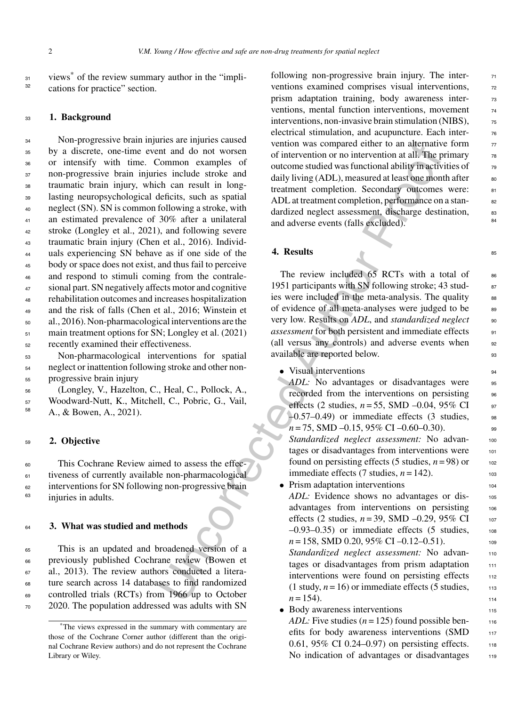$\frac{31}{31}$  views $\stackrel{*}{\circ}$  of the review summary author in the "implications for practice" section.

#### <sup>33</sup> **1. Background**

From examples of the sampled either on alternation and on the total of the common camples of outcome studied was functional ability machinization and do not worsen derived and any the common cample in the material in angu Non-progressive brain injuries are injuries caused by a discrete, one-time event and do not worsen or intensify with time. Common examples of non-progressive brain injuries include stroke and traumatic brain injury, which can result in long- lasting neuropsychological deficits, such as spatial neglect (SN). SN is common following a stroke, with an estimated prevalence of 30% after a unilateral stroke (Longley et al., 2021), and following severe traumatic brain injury (Chen et al., 2016). Individ- uals experiencing SN behave as if one side of the body or space does not exist, and thus fail to perceive and respond to stimuli coming from the contrale- sional part. SN negatively affects motor and cognitive rehabilitation outcomes and increases hospitalization and the risk of falls (Chen et al., 2016; Winstein et al., 2016). Non-pharmacological interventions are the 51 main treatment options for SN; Longley et al. (2021) recently examined their effectiveness.

<sup>53</sup> Non-pharmacological interventions for spatial <sup>54</sup> neglect or inattention following stroke and other non-<sup>55</sup> progressive brain injury

<sup>56</sup> (Longley, V., Hazelton, C., Heal, C., Pollock, A.,  $57$  Woodward-Nutt, K., Mitchell, C., Pobric, G., Vail, A., & Bowen, A., 2021).

## <sup>59</sup> **2. Objective**

 This Cochrane Review aimed to assess the effec- tiveness of currently available non-pharmacological interventions for SN following non-progressive brain <sup>63</sup> injuries in adults.

## <sup>64</sup> **3. What was studied and methods**

 This is an updated and broadened version of a previously published Cochrane review (Bowen et al., 2013). The review authors conducted a litera- ture search across 14 databases to find randomized controlled trials (RCTs) from 1966 up to October 2020. The population addressed was adults with SN following non-progressive brain injury. The interventions examined comprises visual interventions,  $\frac{72}{2}$ prism adaptation training, body awareness interventions, mental function interventions, movement  $\frac{74}{6}$ interventions, non-invasive brain stimulation  $(NIBS)$ ,  $\qquad \qquad$ electrical stimulation, and acupuncture. Each intervention was compared either to an alternative form  $\frac{77}{20}$ of intervention or no intervention at all. The primary  $\frac{78}{8}$ outcome studied was functional ability in activities of  $\frac{79}{20}$ daily living (ADL), measured at least one month after so treatment completion. Secondary outcomes were: 81 ADL at treatment completion, performance on a standardized neglect assessment, discharge destination,  $83$ and adverse events (falls excluded).

# **4. Results** 85

The review included  $65$  RCTs with a total of  $86$ 1951 participants with SN following stroke; 43 studies were included in the meta-analysis. The quality ss of evidence of all meta-analyses were judged to be <sup>89</sup> very low. Results on *ADL*, and *standardized neglect* 90 *assessment* for both persistent and immediate effects <sup>91</sup> (all versus any controls) and adverse events when 92 available are reported below.

- Visual interventions 94
- *ADL:* No advantages or disadvantages were 95 recorded from the interventions on persisting 96 effects (2 studies,  $n = 55$ , SMD -0.04, 95% CI 97  $-0.57-0.49$  or immediate effects (3 studies, 98  $n = 75$ , SMD  $-0.15$ , 95% CI  $-0.60 - 0.30$ ).

*Standardized neglect assessment:* No advan- <sup>100</sup> tages or disadvantages from interventions were 101 found on persisting effects (5 studies,  $n = 98$ ) or 102 immediate effects (7 studies,  $n = 142$ ).

• Prism adaptation interventions 104

ADL: Evidence shows no advantages or disadvantages from interventions on persisting 106 effects (2 studies,  $n = 39$ , SMD –0.29, 95% CI 107  $-0.93-0.35$ ) or immediate effects (5 studies, 108 *n* = 158, SMD 0.20, 95% CI –0.12–0.51). *Standardized neglect assessment:* No advan- <sup>110</sup>

tages or disadvantages from prism adaptation  $111$ interventions were found on persisting effects 112 (1 study,  $n = 16$ ) or immediate effects (5 studies,  $113$  $n = 154$ .

• Body awareness interventions 115 *ADL:* Five studies  $(n = 125)$  found possible benefits for body awareness interventions  $(SMD$  117 0.61, 95% CI 0.24–0.97) on persisting effects.  $118$ No indication of advantages or disadvantages 119

<sup>\*</sup>The views expressed in the summary with commentary are those of the Cochrane Corner author (different than the original Cochrane Review authors) and do not represent the Cochrane Library or Wiley.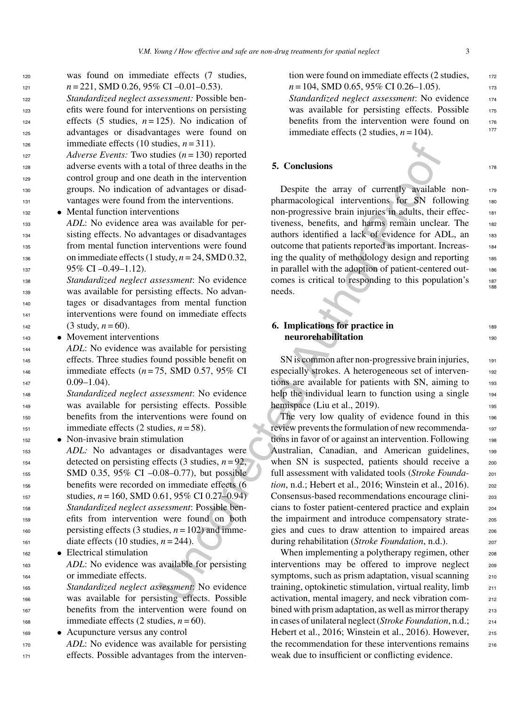- 
- 
- 

 sisting effects. No advantages or disadvantages from mental function interventions were found on immediate effects (1 study,  $n = 24$ , SMD 0.32, 95% CI –0.49–1.12).

 *Standardized neglect assessment*: No evidence was available for persisting effects. No advan- tages or disadvantages from mental function interventions were found on immediate effects (3 study,  $n = 60$ ).

 was found on immediate effects (7 studies,  $n = 221$ , SMD 0.26, 95% CI –0.01–0.53). *Standardized neglect assessment:* Possible ben- efits were found for interventions on persisting 124 effects (5 studies,  $n = 125$ ). No indication of advantages or disadvantages were found on

 *Adverse Events:* Two studies (*n* = 130) reported adverse events with a total of three deaths in the control group and one death in the intervention groups. No indication of advantages or disad-vantages were found from the interventions.

<sup>133</sup> *ADL*: No evidence area was available for per-

126 immediate effects (10 studies,  $n = 311$ ).

<sup>143</sup> • Movement interventions

<sup>132</sup> • Mental function interventions

 *ADL*: No evidence was available for persisting effects. Three studies found possible benefit on immediate effects (*n* = 75, SMD 0.57, 95% CI 0.09–1.04).

 *Standardized neglect assessment*: No evidence was available for persisting effects. Possible benefits from the interventions were found on immediate effects (2 studies,  $n = 58$ ).

<sup>152</sup> • Non-invasive brain stimulation

 *ADL:* No advantages or disadvantages were 154 detected on persisting effects  $(3 \text{ studies}, n=92)$ , SMD 0.35, 95% CI –0.08–0.77), but possible benefits were recorded on immediate effects (6  $_{157}$  studies,  $n = 160$ , SMD 0.61, 95% CI 0.27–0.94) *Standardized neglect assessment*: Possible ben- efits from intervention were found on both 160 persisting effects (3 studies,  $n = 102$ ) and imme-diate effects (10 studies,  $n = 244$ ).

<sup>162</sup> • Electrical stimulation

<sup>163</sup> *ADL*: No evidence was available for persisting <sup>164</sup> or immediate effects.

 *Standardized neglect assessment*: No evidence was available for persisting effects. Possible benefits from the intervention were found on <sup>168</sup> immediate effects (2 studies,  $n = 60$ ).

<sup>169</sup> • Acupuncture versus any control

<sup>170</sup> *ADL*: No evidence was available for persisting <sup>171</sup> effects. Possible advantages from the intervention were found on immediate effects  $(2 \text{ studies}, \frac{172}{172})$  $n = 104$ , SMD 0.65, 95% CI 0.26–1.05). *Standardized neglect assessment*: No evidence <sup>174</sup> was available for persisting effects. Possible 175 benefits from the intervention were found on  $\frac{176}{177}$ immediate effects  $(2 \text{ studies}, n = 104)$ .

## **5. Conclusions** <sup>178</sup>

Despite the array of currently available nonpharmacological interventions for SN following 180 non-progressive brain injuries in adults, their effectiveness, benefits, and harms remain unclear. The 182 authors identified a lack of evidence for ADL, an 183 outcome that patients reported as important. Increas- <sup>184</sup> ing the quality of methodology design and reporting  $185$ in parallel with the adoption of patient-centered out- <sup>186</sup> comes is critical to responding to this population's 187 needs.

# **6. Implications for practice in** 189 **neurorehabilitation** 190

SN is common after non-progressive brain injuries, 191 especially strokes. A heterogeneous set of interventions are available for patients with SN, aiming to 193 help the individual learn to function using a single 194 hemispace (Liu et al., 2019).  $195$ 

udies,  $n = 311$ ,<br>
adies ( $n = 130$ ) reported<br>
and three deaths in the interventions<br>
and three deaths in the interventions<br>
eath in the interventions.<br>
and the interventions on progressive brain injuries in adults, their<br> The very low quality of evidence found in this 196 review prevents the formulation of new recommendations in favor of or against an intervention. Following 198 Australian, Canadian, and American guidelines, 199 when SN is suspected, patients should receive a 200 full assessment with validated tools (*Stroke Founda-* <sup>201</sup> *tion*, n.d.; Hebert et al., 2016; Winstein et al., 2016). 202 Consensus-based recommendations encourage clini- <sup>203</sup> cians to foster patient-centered practice and explain <sup>204</sup> the impairment and introduce compensatory strate-<br>205 gies and cues to draw attention to impaired areas 206 during rehabilitation (*Stroke Foundation*, n.d.). <sup>207</sup>

When implementing a polytherapy regimen, other 208 interventions may be offered to improve neglect 209 symptoms, such as prism adaptation, visual scanning 210 training, optokinetic stimulation, virtual reality, limb  $_{211}$ activation, mental imagery, and neck vibration com- <sup>212</sup> bined with prism adaptation, as well as mirror therapy 213 in cases of unilateral neglect (*Stroke Foundation*, n.d.; <sup>214</sup> Hebert et al., 2016; Winstein et al., 2016). However,  $_{215}$ the recommendation for these interventions remains 216 weak due to insufficient or conflicting evidence.